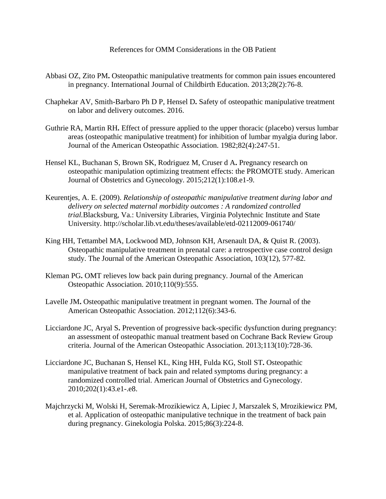## References for OMM Considerations in the OB Patient

- Abbasi OZ, Zito PM**.** Osteopathic manipulative treatments for common pain issues encountered in pregnancy. International Journal of Childbirth Education. 2013;28(2):76-8.
- Chaphekar AV, Smith-Barbaro Ph D P, Hensel D**.** Safety of osteopathic manipulative treatment on labor and delivery outcomes. 2016.
- Guthrie RA, Martin RH**.** Effect of pressure applied to the upper thoracic (placebo) versus lumbar areas (osteopathic manipulative treatment) for inhibition of lumbar myalgia during labor. Journal of the American Osteopathic Association. 1982;82(4):247-51.
- Hensel KL, Buchanan S, Brown SK, Rodriguez M, Cruser d A**.** Pregnancy research on osteopathic manipulation optimizing treatment effects: the PROMOTE study. American Journal of Obstetrics and Gynecology. 2015;212(1):108.e1-9.
- Keurentjes, A. E. (2009). *Relationship of osteopathic manipulative treatment during labor and delivery on selected maternal morbidity outcomes : A randomized controlled trial.*Blacksburg, Va.: University Libraries, Virginia Polytechnic Institute and State University. http://scholar.lib.vt.edu/theses/available/etd-02112009-061740/
- King HH, Tettambel MA, Lockwood MD, Johnson KH, Arsenault DA, & Quist R. (2003). Osteopathic manipulative treatment in prenatal care: a retrospective case control design study. The Journal of the American Osteopathic Association, 103(12), 577-82.
- Kleman PG**.** OMT relieves low back pain during pregnancy. Journal of the American Osteopathic Association. 2010;110(9):555.
- Lavelle JM**.** Osteopathic manipulative treatment in pregnant women. The Journal of the American Osteopathic Association. 2012;112(6):343-6.
- Licciardone JC, Aryal S**.** Prevention of progressive back-specific dysfunction during pregnancy: an assessment of osteopathic manual treatment based on Cochrane Back Review Group criteria. Journal of the American Osteopathic Association. 2013;113(10):728-36.
- Licciardone JC, Buchanan S, Hensel KL, King HH, Fulda KG, Stoll ST**.** Osteopathic manipulative treatment of back pain and related symptoms during pregnancy: a randomized controlled trial. American Journal of Obstetrics and Gynecology. 2010;202(1):43.e1-.e8.
- Majchrzycki M, Wolski H, Seremak-Mrozikiewicz A, Lipiec J, Marszalek S, Mrozikiewicz PM, et al. Application of osteopathic manipulative technique in the treatment of back pain during pregnancy. Ginekologia Polska. 2015;86(3):224-8.